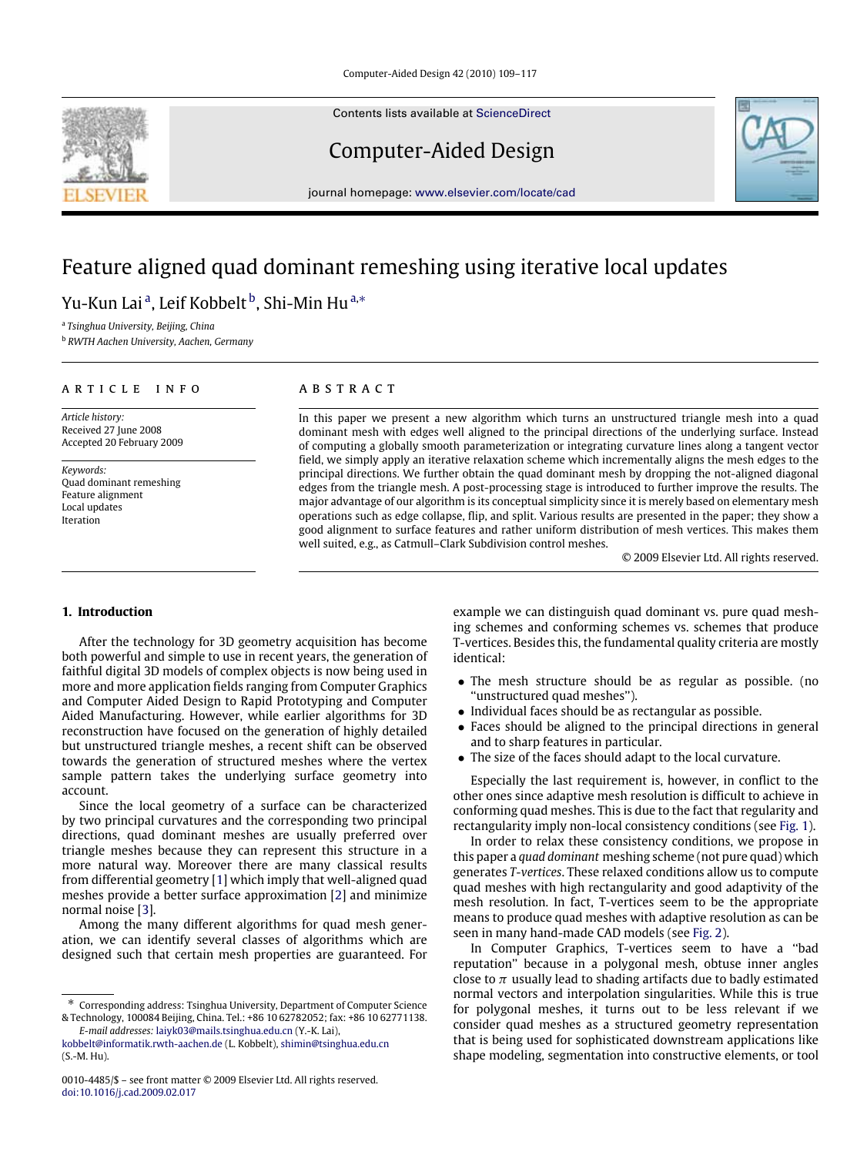Contents lists available at ScienceDirect

# Computer-Aided Design

journal homepage: www.elsevier.com/locate/cad

# Feature aligned quad dominant remeshing using iterative local updates

Yu-Kun Lai <sup>a</sup>, Leif Kobbelt <sup>b</sup>, Shi-Min Hu <sup>a,</sup>\*

a *Tsinghua University, Beijing, China* <sup>b</sup> *RWTH Aachen University, Aachen, Germany*

#### ARTICLE INFO

*Article history:* Received 27 June 2008 Accepted 20 February 2009

*Keywords:* Quad dominant remeshing Feature alignment Local updates Iteration

# A B S T R A C T

In this paper we present a new algorithm which turns an unstructured triangle mesh into a quad dominant mesh with edges well aligned to the principal directions of the underlying surface. Instead of computing a globally smooth parameterization or integrating curvature lines along a tangent vector field, we simply apply an iterative relaxation scheme which incrementally aligns the mesh edges to the principal directions. We further obtain the quad dominant mesh by dropping the not-aligned diagonal edges from the triangle mesh. A post-processing stage is introduced to further improve the results. The major advantage of our algorithm is its conceptual simplicity since it is merely based on elementary mesh operations such as edge collapse, flip, and split. Various results are presented in the paper; they show a good alignment to surface features and rather uniform distribution of mesh vertices. This makes them well suited, e.g., as Catmull–Clark Subdivision control meshes.

© 2009 Elsevier Ltd. All rights reserved.

# **1. Introduction**

After the technology for 3D geometry acquisition has become both powerful and simple to use in recent years, the generation of faithful digital 3D models of complex objects is now being used in more and more application fields ranging from Computer Graphics and Computer Aided Design to Rapid Prototyping and Computer Aided Manufacturing. However, while earlier algorithms for 3D reconstruction have focused on the generation of highly detailed but unstructured triangle meshes, a recent shift can be observed towards the generation of structured meshes where the vertex sample pattern takes the underlying surface geometry into account.

Since the local geometry of a surface can be characterized by two principal curvatures and the corresponding two principal directions, quad dominant meshes are usually preferred over triangle meshes because they can represent this structure in a more natural way. Moreover there are many classical results from differential geometry [1] which imply that well-aligned quad meshes provide a better surface approximation [2] and minimize normal noise [3].

Among the many different algorithms for quad mesh generation, we can identify several classes of algorithms which are designed such that certain mesh properties are guaranteed. For example we can distinguish quad dominant vs. pure quad meshing schemes and conforming schemes vs. schemes that produce T-vertices. Besides this, the fundamental quality criteria are mostly identical:

- The mesh structure should be as regular as possible. (no ''unstructured quad meshes'').
- Individual faces should be as rectangular as possible.
- Faces should be aligned to the principal directions in general and to sharp features in particular.
- The size of the faces should adapt to the local curvature.

Especially the last requirement is, however, in conflict to the other ones since adaptive mesh resolution is difficult to achieve in conforming quad meshes. This is due to the fact that regularity and rectangularity imply non-local consistency conditions (see Fig. 1).

In order to relax these consistency conditions, we propose in this paper a *quad dominant* meshing scheme (not pure quad) which generates *T-vertices*. These relaxed conditions allow us to compute quad meshes with high rectangularity and good adaptivity of the mesh resolution. In fact, T-vertices seem to be the appropriate means to produce quad meshes with adaptive resolution as can be seen in many hand-made CAD models (see Fig. 2).

In Computer Graphics, T-vertices seem to have a ''bad reputation'' because in a polygonal mesh, obtuse inner angles close to  $\pi$  usually lead to shading artifacts due to badly estimated normal vectors and interpolation singularities. While this is true for polygonal meshes, it turns out to be less relevant if we consider quad meshes as a structured geometry representation that is being used for sophisticated downstream applications like shape modeling, segmentation into constructive elements, or tool





<sup>∗</sup> Corresponding address: Tsinghua University, Department of Computer Science & Technology, 100084 Beijing, China. Tel.: +86 10 62782052; fax: +86 10 62771138.

*E-mail addresses:* laiyk03@mails.tsinghua.edu.cn (Y.-K. Lai), kobbelt@informatik.rwth-aachen.de (L. Kobbelt), shimin@tsinghua.edu.cn (S.-M. Hu).

<sup>0010-4485/\$ –</sup> see front matter © 2009 Elsevier Ltd. All rights reserved. doi:10.1016/j.cad.2009.02.017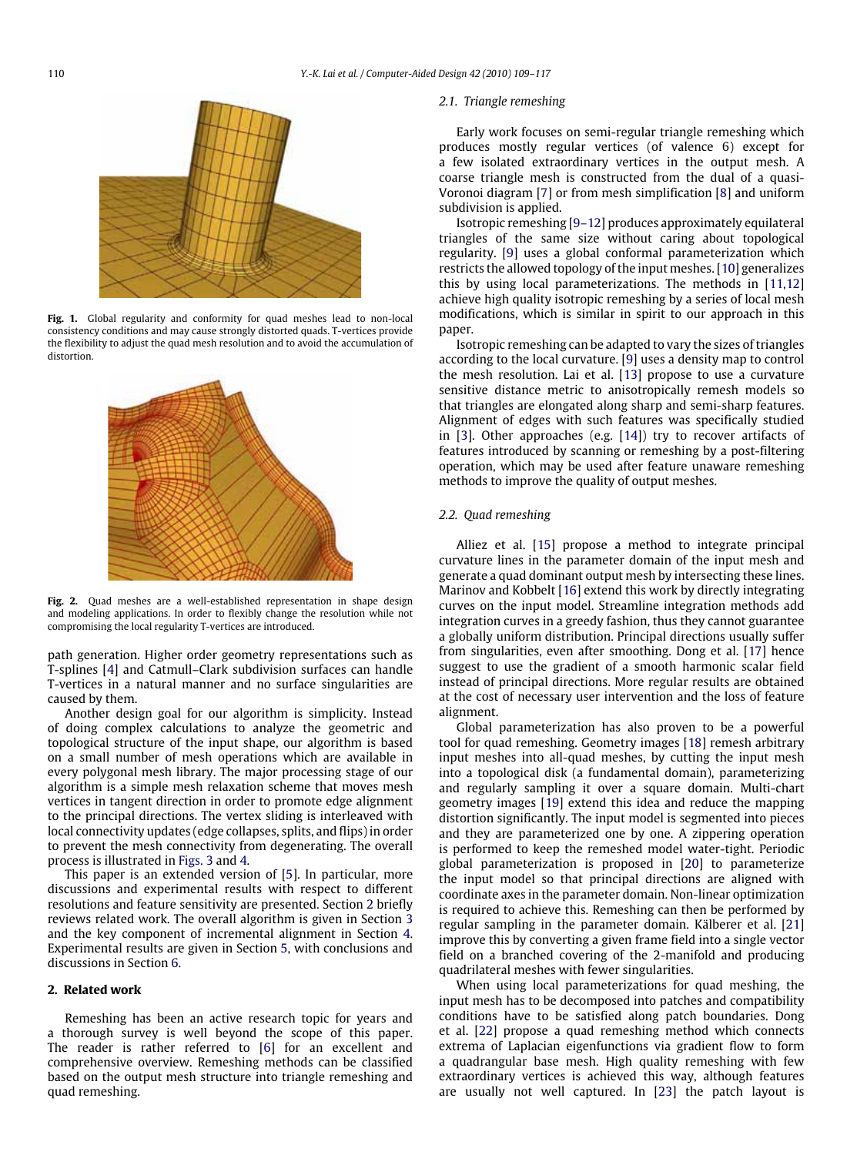

**Fig. 1.** Global regularity and conformity for quad meshes lead to non-local consistency conditions and may cause strongly distorted quads. T-vertices provide the flexibility to adjust the quad mesh resolution and to avoid the accumulation of distortion.



**Fig. 2.** Quad meshes are a well-established representation in shape design and modeling applications. In order to flexibly change the resolution while not compromising the local regularity T-vertices are introduced.

path generation. Higher order geometry representations such as T-splines [4] and Catmull–Clark subdivision surfaces can handle T-vertices in a natural manner and no surface singularities are caused by them.

Another design goal for our algorithm is simplicity. Instead of doing complex calculations to analyze the geometric and topological structure of the input shape, our algorithm is based on a small number of mesh operations which are available in every polygonal mesh library. The major processing stage of our algorithm is a simple mesh relaxation scheme that moves mesh vertices in tangent direction in order to promote edge alignment to the principal directions. The vertex sliding is interleaved with local connectivity updates (edge collapses, splits, and flips) in order to prevent the mesh connectivity from degenerating. The overall process is illustrated in Figs. 3 and 4.

This paper is an extended version of [5]. In particular, more discussions and experimental results with respect to different resolutions and feature sensitivity are presented. Section 2 briefly reviews related work. The overall algorithm is given in Section 3 and the key component of incremental alignment in Section 4. Experimental results are given in Section 5, with conclusions and discussions in Section 6.

# **2. Related work**

Remeshing has been an active research topic for years and a thorough survey is well beyond the scope of this paper. The reader is rather referred to [6] for an excellent and comprehensive overview. Remeshing methods can be classified based on the output mesh structure into triangle remeshing and quad remeshing.

#### *2.1. Triangle remeshing*

Early work focuses on semi-regular triangle remeshing which produces mostly regular vertices (of valence 6) except for a few isolated extraordinary vertices in the output mesh. A coarse triangle mesh is constructed from the dual of a quasi-Voronoi diagram [7] or from mesh simplification [8] and uniform subdivision is applied.

Isotropic remeshing [9–12] produces approximately equilateral triangles of the same size without caring about topological regularity. [9] uses a global conformal parameterization which restricts the allowed topology of the input meshes. [10] generalizes this by using local parameterizations. The methods in [11,12] achieve high quality isotropic remeshing by a series of local mesh modifications, which is similar in spirit to our approach in this paper.

Isotropic remeshing can be adapted to vary the sizes of triangles according to the local curvature. [9] uses a density map to control the mesh resolution. Lai et al. [13] propose to use a curvature sensitive distance metric to anisotropically remesh models so that triangles are elongated along sharp and semi-sharp features. Alignment of edges with such features was specifically studied in [3]. Other approaches (e.g. [14]) try to recover artifacts of features introduced by scanning or remeshing by a post-filtering operation, which may be used after feature unaware remeshing methods to improve the quality of output meshes.

#### *2.2. Quad remeshing*

Alliez et al. [15] propose a method to integrate principal curvature lines in the parameter domain of the input mesh and generate a quad dominant output mesh by intersecting these lines. Marinov and Kobbelt [16] extend this work by directly integrating curves on the input model. Streamline integration methods add integration curves in a greedy fashion, thus they cannot guarantee a globally uniform distribution. Principal directions usually suffer from singularities, even after smoothing. Dong et al. [17] hence suggest to use the gradient of a smooth harmonic scalar field instead of principal directions. More regular results are obtained at the cost of necessary user intervention and the loss of feature alignment.

Global parameterization has also proven to be a powerful tool for quad remeshing. Geometry images [18] remesh arbitrary input meshes into all-quad meshes, by cutting the input mesh into a topological disk (a fundamental domain), parameterizing and regularly sampling it over a square domain. Multi-chart geometry images [19] extend this idea and reduce the mapping distortion significantly. The input model is segmented into pieces and they are parameterized one by one. A zippering operation is performed to keep the remeshed model water-tight. Periodic global parameterization is proposed in [20] to parameterize the input model so that principal directions are aligned with coordinate axes in the parameter domain. Non-linear optimization is required to achieve this. Remeshing can then be performed by regular sampling in the parameter domain. Kälberer et al. [21] improve this by converting a given frame field into a single vector field on a branched covering of the 2-manifold and producing quadrilateral meshes with fewer singularities.

When using local parameterizations for quad meshing, the input mesh has to be decomposed into patches and compatibility conditions have to be satisfied along patch boundaries. Dong et al. [22] propose a quad remeshing method which connects extrema of Laplacian eigenfunctions via gradient flow to form a quadrangular base mesh. High quality remeshing with few extraordinary vertices is achieved this way, although features are usually not well captured. In [23] the patch layout is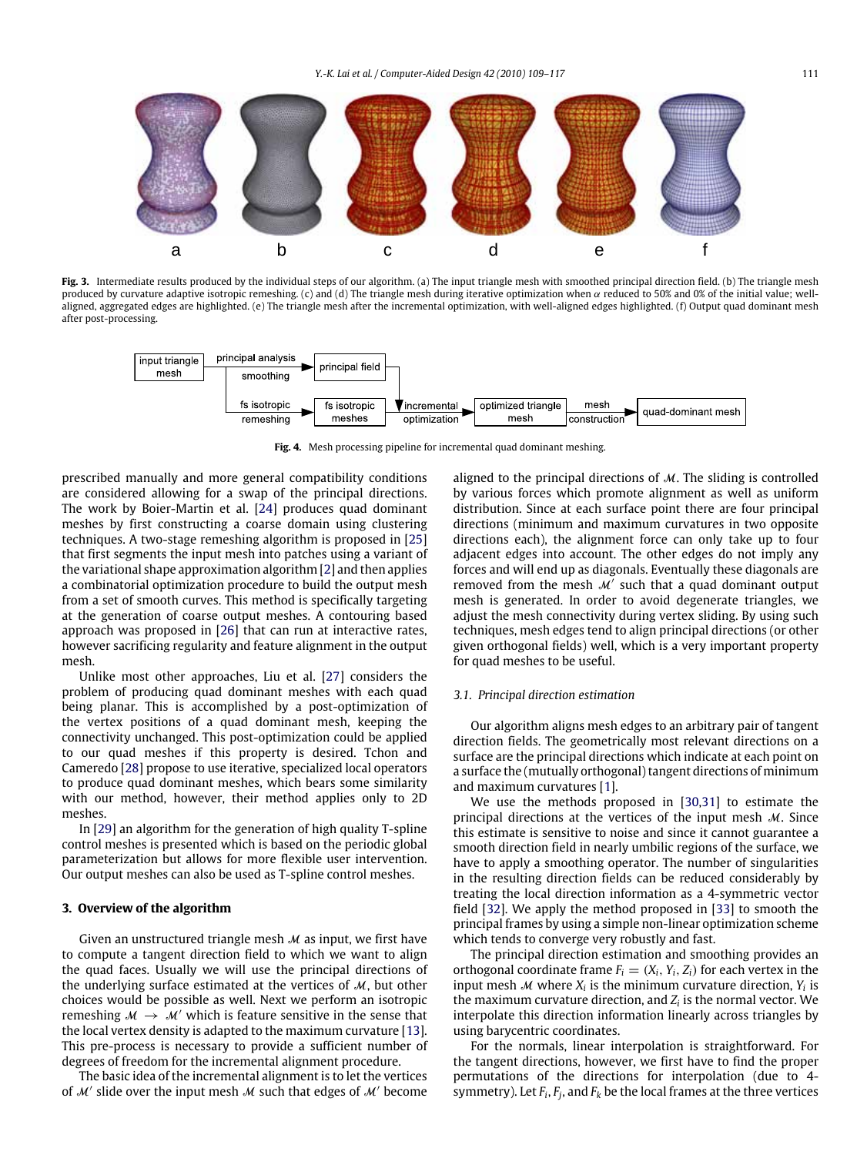

**Fig. 3.** Intermediate results produced by the individual steps of our algorithm. (a) The input triangle mesh with smoothed principal direction field. (b) The triangle mesh produced by curvature adaptive isotropic remeshing. (c) and (d) The triangle mesh during iterative optimization when  $\alpha$  reduced to 50% and 0% of the initial value; wellaligned, aggregated edges are highlighted. (e) The triangle mesh after the incremental optimization, with well-aligned edges highlighted. (f) Output quad dominant mesh after post-processing.



**Fig. 4.** Mesh processing pipeline for incremental quad dominant meshing.

prescribed manually and more general compatibility conditions are considered allowing for a swap of the principal directions. The work by Boier-Martin et al. [24] produces quad dominant meshes by first constructing a coarse domain using clustering techniques. A two-stage remeshing algorithm is proposed in [25] that first segments the input mesh into patches using a variant of the variational shape approximation algorithm [2] and then applies a combinatorial optimization procedure to build the output mesh from a set of smooth curves. This method is specifically targeting at the generation of coarse output meshes. A contouring based approach was proposed in [26] that can run at interactive rates, however sacrificing regularity and feature alignment in the output mesh.

Unlike most other approaches, Liu et al. [27] considers the problem of producing quad dominant meshes with each quad being planar. This is accomplished by a post-optimization of the vertex positions of a quad dominant mesh, keeping the connectivity unchanged. This post-optimization could be applied to our quad meshes if this property is desired. Tchon and Cameredo [28] propose to use iterative, specialized local operators to produce quad dominant meshes, which bears some similarity with our method, however, their method applies only to 2D meshes.

In [29] an algorithm for the generation of high quality T-spline control meshes is presented which is based on the periodic global parameterization but allows for more flexible user intervention. Our output meshes can also be used as T-spline control meshes.

# **3. Overview of the algorithm**

Given an unstructured triangle mesh  $M$  as input, we first have to compute a tangent direction field to which we want to align the quad faces. Usually we will use the principal directions of the underlying surface estimated at the vertices of  $M$ , but other choices would be possible as well. Next we perform an isotropic remeshing  $M \rightarrow M'$  which is feature sensitive in the sense that the local vertex density is adapted to the maximum curvature [13]. This pre-process is necessary to provide a sufficient number of degrees of freedom for the incremental alignment procedure.

The basic idea of the incremental alignment is to let the vertices of  $\mathcal{M}'$  slide over the input mesh  $\mathcal M$  such that edges of  $\mathcal M'$  become

aligned to the principal directions of  $M$ . The sliding is controlled by various forces which promote alignment as well as uniform distribution. Since at each surface point there are four principal directions (minimum and maximum curvatures in two opposite directions each), the alignment force can only take up to four adjacent edges into account. The other edges do not imply any forces and will end up as diagonals. Eventually these diagonals are removed from the mesh  $\mathcal{M}'$  such that a quad dominant output mesh is generated. In order to avoid degenerate triangles, we adjust the mesh connectivity during vertex sliding. By using such techniques, mesh edges tend to align principal directions (or other given orthogonal fields) well, which is a very important property for quad meshes to be useful.

#### *3.1. Principal direction estimation*

Our algorithm aligns mesh edges to an arbitrary pair of tangent direction fields. The geometrically most relevant directions on a surface are the principal directions which indicate at each point on a surface the (mutually orthogonal) tangent directions of minimum and maximum curvatures [1].

We use the methods proposed in [30,31] to estimate the principal directions at the vertices of the input mesh  $M$ . Since this estimate is sensitive to noise and since it cannot guarantee a smooth direction field in nearly umbilic regions of the surface, we have to apply a smoothing operator. The number of singularities in the resulting direction fields can be reduced considerably by treating the local direction information as a 4-symmetric vector field [32]. We apply the method proposed in [33] to smooth the principal frames by using a simple non-linear optimization scheme which tends to converge very robustly and fast.

The principal direction estimation and smoothing provides an orthogonal coordinate frame  $F_i = (X_i, Y_i, Z_i)$  for each vertex in the input mesh  $\mathcal{M}$  where  $X_i$  is the minimum curvature direction,  $Y_i$  is the maximum curvature direction, and  $Z_i$  is the normal vector. We interpolate this direction information linearly across triangles by using barycentric coordinates.

For the normals, linear interpolation is straightforward. For the tangent directions, however, we first have to find the proper permutations of the directions for interpolation (due to 4 symmetry). Let  $F_i$ ,  $F_j$ , and  $F_k$  be the local frames at the three vertices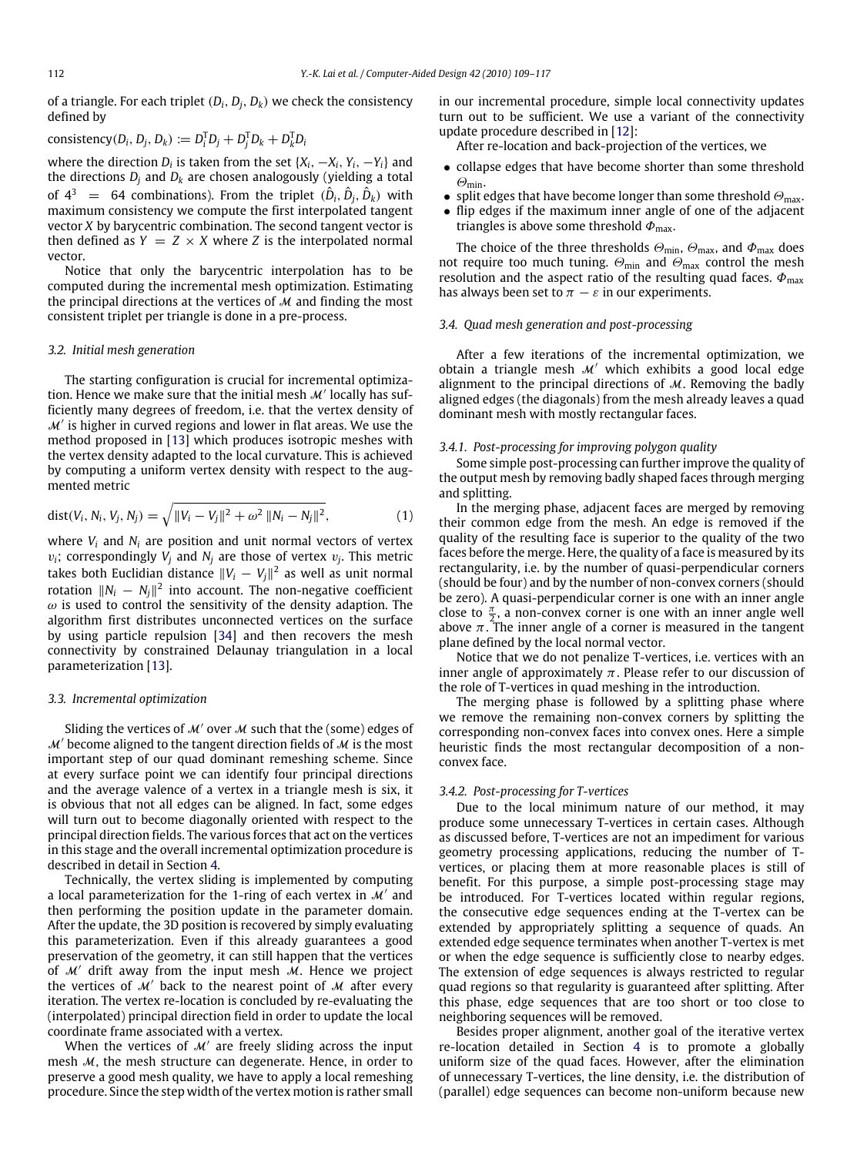of a triangle. For each triplet  $(D_i, D_i, D_k)$  we check the consistency defined by

 $\text{consistency}(D_i, D_j, D_k) := D_i^T D_j + D_j^T D_k + D_k^T D_i$ 

where the direction  $D_i$  is taken from the set  $\{X_i, -X_i, Y_i, -Y_i\}$  and the directions  $D_i$  and  $D_k$  are chosen analogously (yielding a total of  $4^3$  = 64 combinations). From the triplet  $(\hat{D}_i, \hat{D}_j, \hat{D}_k)$  with maximum consistency we compute the first interpolated tangent vector *X* by barycentric combination. The second tangent vector is then defined as  $Y = Z \times X$  where *Z* is the interpolated normal vector.

Notice that only the barycentric interpolation has to be computed during the incremental mesh optimization. Estimating the principal directions at the vertices of  $\mathcal M$  and finding the most consistent triplet per triangle is done in a pre-process.

## *3.2. Initial mesh generation*

The starting configuration is crucial for incremental optimization. Hence we make sure that the initial mesh  $\mathcal{M}'$  locally has sufficiently many degrees of freedom, i.e. that the vertex density of  $\mathcal{M}'$  is higher in curved regions and lower in flat areas. We use the method proposed in [13] which produces isotropic meshes with the vertex density adapted to the local curvature. This is achieved by computing a uniform vertex density with respect to the augmented metric

$$
dist(V_i, N_i, V_j, N_j) = \sqrt{||V_i - V_j||^2 + \omega^2 ||N_i - N_j||^2},
$$
\n(1)

where  $V_i$  and  $N_i$  are position and unit normal vectors of vertex  $v_i$ ; correspondingly  $V_j$  and  $N_j$  are those of vertex  $v_j$ . This metric takes both Euclidian distance  $\|V_i - V_j\|^2$  as well as unit normal rotation  $\|N_i - N_j\|^2$  into account. The non-negative coefficient  $\omega$  is used to control the sensitivity of the density adaption. The algorithm first distributes unconnected vertices on the surface by using particle repulsion [34] and then recovers the mesh connectivity by constrained Delaunay triangulation in a local parameterization [13].

#### *3.3. Incremental optimization*

Sliding the vertices of  $M'$  over M such that the (some) edges of  $M'$  become aligned to the tangent direction fields of  $M$  is the most important step of our quad dominant remeshing scheme. Since at every surface point we can identify four principal directions and the average valence of a vertex in a triangle mesh is six, it is obvious that not all edges can be aligned. In fact, some edges will turn out to become diagonally oriented with respect to the principal direction fields. The various forces that act on the vertices in this stage and the overall incremental optimization procedure is described in detail in Section 4.

Technically, the vertex sliding is implemented by computing a local parameterization for the 1-ring of each vertex in  $\dot{M}$  and then performing the position update in the parameter domain. After the update, the 3D position is recovered by simply evaluating this parameterization. Even if this already guarantees a good preservation of the geometry, it can still happen that the vertices of  $M'$  drift away from the input mesh M. Hence we project the vertices of  $\mathcal{M}'$  back to the nearest point of  $\mathcal M$  after every iteration. The vertex re-location is concluded by re-evaluating the (interpolated) principal direction field in order to update the local coordinate frame associated with a vertex.

When the vertices of  $\mathcal{M}'$  are freely sliding across the input mesh  $M$ , the mesh structure can degenerate. Hence, in order to preserve a good mesh quality, we have to apply a local remeshing procedure. Since the step width of the vertex motion is rather small

in our incremental procedure, simple local connectivity updates turn out to be sufficient. We use a variant of the connectivity update procedure described in [12]:

After re-location and back-projection of the vertices, we

- collapse edges that have become shorter than some threshold  $\Theta_{\min}$ .
- split edges that have become longer than some threshold  $\Theta_{\text{max}}$ .
- flip edges if the maximum inner angle of one of the adjacent triangles is above some threshold  $\Phi_{\text{max}}$ .

The choice of the three thresholds  $\Theta_{\text{min}}$ ,  $\Theta_{\text{max}}$ , and  $\Phi_{\text{max}}$  does not require too much tuning.  $\Theta_{\text{min}}$  and  $\Theta_{\text{max}}$  control the mesh resolution and the aspect ratio of the resulting quad faces.  $\Phi_{\text{max}}$ has always been set to  $\pi - \varepsilon$  in our experiments.

#### *3.4. Quad mesh generation and post-processing*

After a few iterations of the incremental optimization, we obtain a triangle mesh  $M'$  which exhibits a good local edge alignment to the principal directions of  $M$ . Removing the badly aligned edges (the diagonals) from the mesh already leaves a quad dominant mesh with mostly rectangular faces.

#### *3.4.1. Post-processing for improving polygon quality*

Some simple post-processing can further improve the quality of the output mesh by removing badly shaped faces through merging and splitting.

In the merging phase, adjacent faces are merged by removing their common edge from the mesh. An edge is removed if the quality of the resulting face is superior to the quality of the two faces before the merge. Here, the quality of a face is measured by its rectangularity, i.e. by the number of quasi-perpendicular corners (should be four) and by the number of non-convex corners (should be zero). A quasi-perpendicular corner is one with an inner angle close to  $\frac{\pi}{2}$ , a non-convex corner is one with an inner angle well above  $\pi$ . The inner angle of a corner is measured in the tangent plane defined by the local normal vector.

Notice that we do not penalize T-vertices, i.e. vertices with an inner angle of approximately  $\pi$ . Please refer to our discussion of the role of T-vertices in quad meshing in the introduction.

The merging phase is followed by a splitting phase where we remove the remaining non-convex corners by splitting the corresponding non-convex faces into convex ones. Here a simple heuristic finds the most rectangular decomposition of a nonconvex face.

#### *3.4.2. Post-processing for T-vertices*

Due to the local minimum nature of our method, it may produce some unnecessary T-vertices in certain cases. Although as discussed before, T-vertices are not an impediment for various geometry processing applications, reducing the number of Tvertices, or placing them at more reasonable places is still of benefit. For this purpose, a simple post-processing stage may be introduced. For T-vertices located within regular regions, the consecutive edge sequences ending at the T-vertex can be extended by appropriately splitting a sequence of quads. An extended edge sequence terminates when another T-vertex is met or when the edge sequence is sufficiently close to nearby edges. The extension of edge sequences is always restricted to regular quad regions so that regularity is guaranteed after splitting. After this phase, edge sequences that are too short or too close to neighboring sequences will be removed.

Besides proper alignment, another goal of the iterative vertex re-location detailed in Section 4 is to promote a globally uniform size of the quad faces. However, after the elimination of unnecessary T-vertices, the line density, i.e. the distribution of (parallel) edge sequences can become non-uniform because new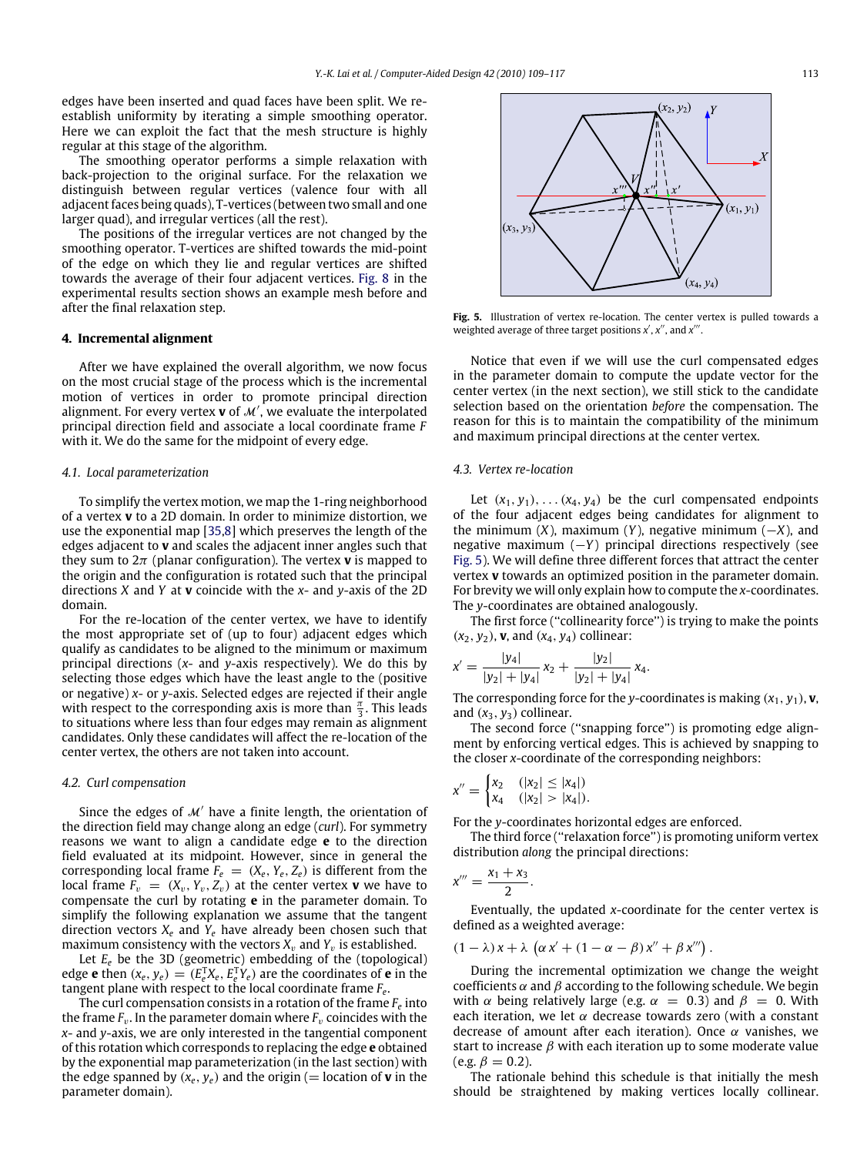edges have been inserted and quad faces have been split. We reestablish uniformity by iterating a simple smoothing operator. Here we can exploit the fact that the mesh structure is highly regular at this stage of the algorithm.

The smoothing operator performs a simple relaxation with back-projection to the original surface. For the relaxation we distinguish between regular vertices (valence four with all adjacent faces being quads), T-vertices (between two small and one larger quad), and irregular vertices (all the rest).

The positions of the irregular vertices are not changed by the smoothing operator. T-vertices are shifted towards the mid-point of the edge on which they lie and regular vertices are shifted towards the average of their four adjacent vertices. Fig. 8 in the experimental results section shows an example mesh before and after the final relaxation step.

#### **4. Incremental alignment**

After we have explained the overall algorithm, we now focus on the most crucial stage of the process which is the incremental motion of vertices in order to promote principal direction alignment. For every vertex **v** of  $\mathcal{M}'$ , we evaluate the interpolated principal direction field and associate a local coordinate frame *F* with it. We do the same for the midpoint of every edge.

# *4.1. Local parameterization*

To simplify the vertex motion, we map the 1-ring neighborhood of a vertex **v** to a 2D domain. In order to minimize distortion, we use the exponential map [35,8] which preserves the length of the edges adjacent to **v** and scales the adjacent inner angles such that they sum to  $2\pi$  (planar configuration). The vertex **v** is mapped to the origin and the configuration is rotated such that the principal directions *X* and *Y* at **v** coincide with the *x*- and *y*-axis of the 2D domain.

For the re-location of the center vertex, we have to identify the most appropriate set of (up to four) adjacent edges which qualify as candidates to be aligned to the minimum or maximum principal directions (*x*- and *y*-axis respectively). We do this by selecting those edges which have the least angle to the (positive or negative) *x*- or *y*-axis. Selected edges are rejected if their angle with respect to the corresponding axis is more than  $\frac{\pi}{3}$ . This leads to situations where less than four edges may remain as alignment candidates. Only these candidates will affect the re-location of the center vertex, the others are not taken into account.

#### *4.2. Curl compensation*

Since the edges of  $\mathcal{M}'$  have a finite length, the orientation of the direction field may change along an edge (*curl*). For symmetry reasons we want to align a candidate edge **e** to the direction field evaluated at its midpoint. However, since in general the corresponding local frame  $F_e = (X_e, Y_e, Z_e)$  is different from the local frame  $F_v = (X_v, Y_v, Z_v)$  at the center vertex **v** we have to compensate the curl by rotating **e** in the parameter domain. To simplify the following explanation we assume that the tangent direction vectors *X<sup>e</sup>* and *Y<sup>e</sup>* have already been chosen such that maximum consistency with the vectors  $X_v$  and  $Y_v$  is established.

Let *E<sup>e</sup>* be the 3D (geometric) embedding of the (topological) edge **e** then  $(x_e, y_e) = (E_e^T X_e, E_e^T Y_e)$  are the coordinates of **e** in the tangent plane with respect to the local coordinate frame *F<sup>e</sup>* .

The curl compensation consists in a rotation of the frame  $F_e$  into the frame  $F_\nu$ . In the parameter domain where  $F_\nu$  coincides with the *x*- and *y*-axis, we are only interested in the tangential component of this rotation which corresponds to replacing the edge **e** obtained by the exponential map parameterization (in the last section) with the edge spanned by  $(x_e, y_e)$  and the origin (= location of **v** in the parameter domain).



**Fig. 5.** Illustration of vertex re-location. The center vertex is pulled towards a weighted average of three target positions x', x", and x"'.

Notice that even if we will use the curl compensated edges in the parameter domain to compute the update vector for the center vertex (in the next section), we still stick to the candidate selection based on the orientation *before* the compensation. The reason for this is to maintain the compatibility of the minimum and maximum principal directions at the center vertex.

#### *4.3. Vertex re-location*

Let  $(x_1, y_1), \ldots (x_4, y_4)$  be the curl compensated endpoints of the four adjacent edges being candidates for alignment to the minimum  $(X)$ , maximum  $(Y)$ , negative minimum  $(-X)$ , and negative maximum (−*Y*) principal directions respectively (see Fig. 5). We will define three different forces that attract the center vertex **v** towards an optimized position in the parameter domain. For brevity we will only explain how to compute the *x*-coordinates. The *y*-coordinates are obtained analogously.

The first force (''collinearity force'') is trying to make the points  $(x_2, y_2)$ , **v**, and  $(x_4, y_4)$  collinear:

$$
x' = \frac{|y_4|}{|y_2| + |y_4|} x_2 + \frac{|y_2|}{|y_2| + |y_4|} x_4.
$$

The corresponding force for the *y*-coordinates is making  $(x_1, y_1)$ , **v**, and  $(x_3, y_3)$  collinear.

The second force ("snapping force") is promoting edge alignment by enforcing vertical edges. This is achieved by snapping to the closer *x*-coordinate of the corresponding neighbors:

$$
x'' = \begin{cases} x_2 & (|x_2| \le |x_4|) \\ x_4 & (|x_2| > |x_4|). \end{cases}
$$

For the *y*-coordinates horizontal edges are enforced.

The third force (''relaxation force'') is promoting uniform vertex distribution *along* the principal directions:

$$
x^{\prime\prime\prime}=\frac{x_1+x_3}{2}.
$$

Eventually, the updated *x*-coordinate for the center vertex is defined as a weighted average:

$$
(1 - \lambda) x + \lambda \left( \alpha x' + (1 - \alpha - \beta) x'' + \beta x''' \right).
$$

During the incremental optimization we change the weight coefficients  $\alpha$  and  $\beta$  according to the following schedule. We begin with  $\alpha$  being relatively large (e.g.  $\alpha = 0.3$ ) and  $\beta = 0$ . With each iteration, we let  $\alpha$  decrease towards zero (with a constant decrease of amount after each iteration). Once  $\alpha$  vanishes, we start to increase  $\beta$  with each iteration up to some moderate value  $(e.g. \beta = 0.2).$ 

The rationale behind this schedule is that initially the mesh should be straightened by making vertices locally collinear.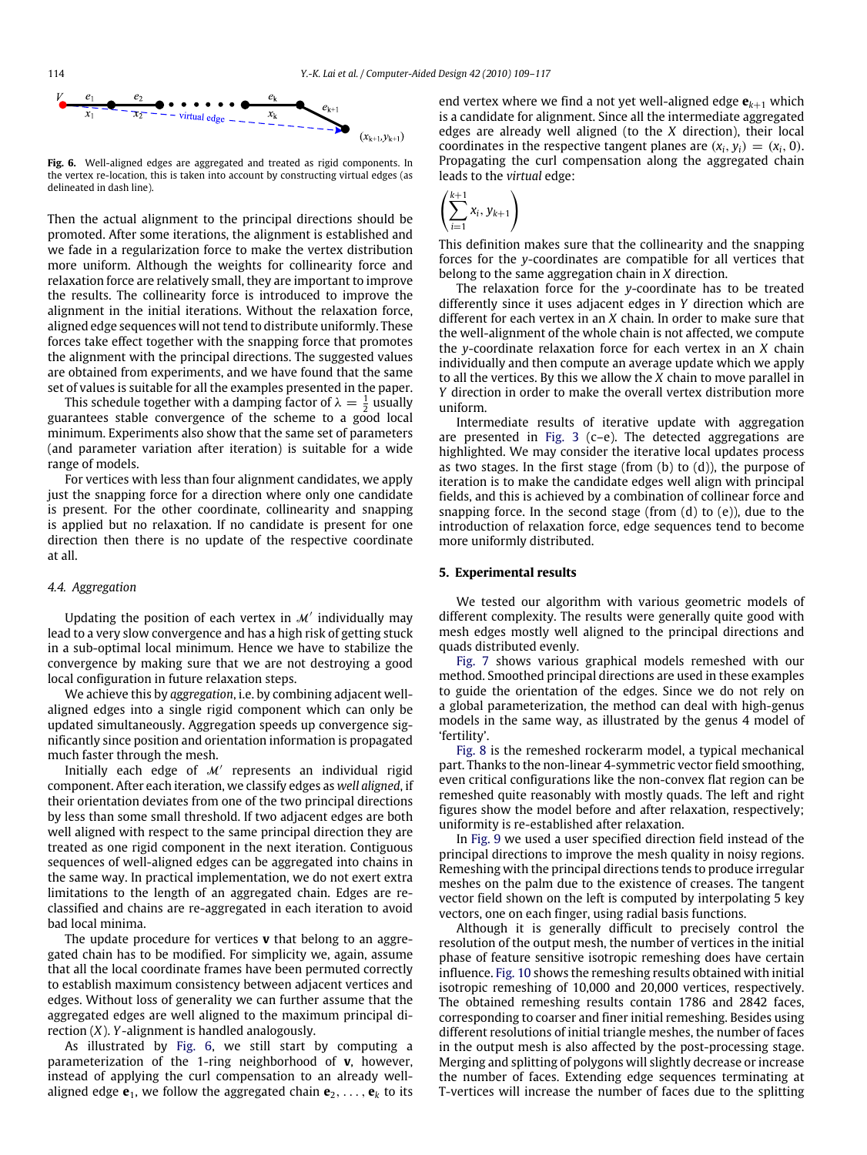

**Fig. 6.** Well-aligned edges are aggregated and treated as rigid components. In the vertex re-location, this is taken into account by constructing virtual edges (as delineated in dash line).

Then the actual alignment to the principal directions should be promoted. After some iterations, the alignment is established and we fade in a regularization force to make the vertex distribution more uniform. Although the weights for collinearity force and relaxation force are relatively small, they are important to improve the results. The collinearity force is introduced to improve the alignment in the initial iterations. Without the relaxation force, aligned edge sequences will not tend to distribute uniformly. These forces take effect together with the snapping force that promotes the alignment with the principal directions. The suggested values are obtained from experiments, and we have found that the same set of values is suitable for all the examples presented in the paper.

This schedule together with a damping factor of  $\lambda = \frac{1}{2}$  usually  $2^{\frac{1}{2}}$  guarantees stable convergence of the scheme to a good local minimum. Experiments also show that the same set of parameters (and parameter variation after iteration) is suitable for a wide range of models.

For vertices with less than four alignment candidates, we apply just the snapping force for a direction where only one candidate is present. For the other coordinate, collinearity and snapping is applied but no relaxation. If no candidate is present for one direction then there is no update of the respective coordinate at all.

#### *4.4. Aggregation*

Updating the position of each vertex in  $\mathcal{M}'$  individually may lead to a very slow convergence and has a high risk of getting stuck in a sub-optimal local minimum. Hence we have to stabilize the convergence by making sure that we are not destroying a good local configuration in future relaxation steps.

We achieve this by *aggregation*, i.e. by combining adjacent wellaligned edges into a single rigid component which can only be updated simultaneously. Aggregation speeds up convergence significantly since position and orientation information is propagated much faster through the mesh.

Initially each edge of  $\mathcal{M}'$  represents an individual rigid component. After each iteration, we classify edges as *well aligned*, if their orientation deviates from one of the two principal directions by less than some small threshold. If two adjacent edges are both well aligned with respect to the same principal direction they are treated as one rigid component in the next iteration. Contiguous sequences of well-aligned edges can be aggregated into chains in the same way. In practical implementation, we do not exert extra limitations to the length of an aggregated chain. Edges are reclassified and chains are re-aggregated in each iteration to avoid bad local minima.

The update procedure for vertices **v** that belong to an aggregated chain has to be modified. For simplicity we, again, assume that all the local coordinate frames have been permuted correctly to establish maximum consistency between adjacent vertices and edges. Without loss of generality we can further assume that the aggregated edges are well aligned to the maximum principal direction (*X*). *Y*-alignment is handled analogously.

As illustrated by Fig. 6, we still start by computing a parameterization of the 1-ring neighborhood of **v**, however, instead of applying the curl compensation to an already wellaligned edge  $\mathbf{e}_1$ , we follow the aggregated chain  $\mathbf{e}_2, \ldots, \mathbf{e}_k$  to its

end vertex where we find a not yet well-aligned edge  $e_{k+1}$  which is a candidate for alignment. Since all the intermediate aggregated edges are already well aligned (to the *X* direction), their local coordinates in the respective tangent planes are  $(x_i, y_i) = (x_i, 0)$ . Propagating the curl compensation along the aggregated chain leads to the *virtual* edge:

$$
\left(\sum_{i=1}^{k+1}x_i,y_{k+1}\right)
$$

This definition makes sure that the collinearity and the snapping forces for the *y*-coordinates are compatible for all vertices that belong to the same aggregation chain in *X* direction.

The relaxation force for the *y*-coordinate has to be treated differently since it uses adjacent edges in *Y* direction which are different for each vertex in an *X* chain. In order to make sure that the well-alignment of the whole chain is not affected, we compute the *y*-coordinate relaxation force for each vertex in an *X* chain individually and then compute an average update which we apply to all the vertices. By this we allow the *X* chain to move parallel in *Y* direction in order to make the overall vertex distribution more uniform.

Intermediate results of iterative update with aggregation are presented in Fig. 3 (c–e). The detected aggregations are highlighted. We may consider the iterative local updates process as two stages. In the first stage (from  $(b)$  to  $(d)$ ), the purpose of iteration is to make the candidate edges well align with principal fields, and this is achieved by a combination of collinear force and snapping force. In the second stage (from (d) to (e)), due to the introduction of relaxation force, edge sequences tend to become more uniformly distributed.

#### **5. Experimental results**

We tested our algorithm with various geometric models of different complexity. The results were generally quite good with mesh edges mostly well aligned to the principal directions and quads distributed evenly.

Fig. 7 shows various graphical models remeshed with our method. Smoothed principal directions are used in these examples to guide the orientation of the edges. Since we do not rely on a global parameterization, the method can deal with high-genus models in the same way, as illustrated by the genus 4 model of 'fertility'.

Fig. 8 is the remeshed rockerarm model, a typical mechanical part. Thanks to the non-linear 4-symmetric vector field smoothing, even critical configurations like the non-convex flat region can be remeshed quite reasonably with mostly quads. The left and right figures show the model before and after relaxation, respectively; uniformity is re-established after relaxation.

In Fig. 9 we used a user specified direction field instead of the principal directions to improve the mesh quality in noisy regions. Remeshing with the principal directions tends to produce irregular meshes on the palm due to the existence of creases. The tangent vector field shown on the left is computed by interpolating 5 key vectors, one on each finger, using radial basis functions.

Although it is generally difficult to precisely control the resolution of the output mesh, the number of vertices in the initial phase of feature sensitive isotropic remeshing does have certain influence. Fig. 10 shows the remeshing results obtained with initial isotropic remeshing of 10,000 and 20,000 vertices, respectively. The obtained remeshing results contain 1786 and 2842 faces, corresponding to coarser and finer initial remeshing. Besides using different resolutions of initial triangle meshes, the number of faces in the output mesh is also affected by the post-processing stage. Merging and splitting of polygons will slightly decrease or increase the number of faces. Extending edge sequences terminating at T-vertices will increase the number of faces due to the splitting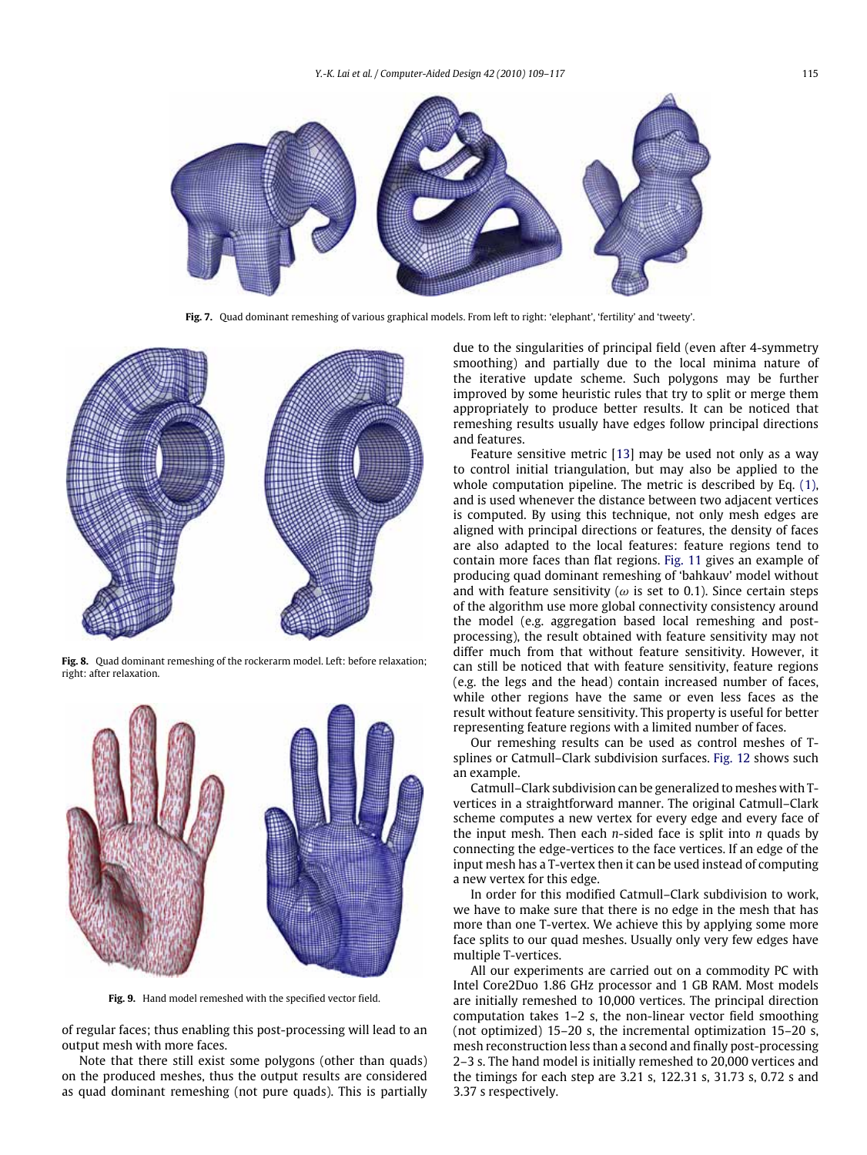

**Fig. 7.** Quad dominant remeshing of various graphical models. From left to right: 'elephant', 'fertility' and 'tweety'.



**Fig. 8.** Quad dominant remeshing of the rockerarm model. Left: before relaxation; right: after relaxation.



**Fig. 9.** Hand model remeshed with the specified vector field.

of regular faces; thus enabling this post-processing will lead to an output mesh with more faces.

Note that there still exist some polygons (other than quads) on the produced meshes, thus the output results are considered as quad dominant remeshing (not pure quads). This is partially due to the singularities of principal field (even after 4-symmetry smoothing) and partially due to the local minima nature of the iterative update scheme. Such polygons may be further improved by some heuristic rules that try to split or merge them appropriately to produce better results. It can be noticed that remeshing results usually have edges follow principal directions and features.

Feature sensitive metric [13] may be used not only as a way to control initial triangulation, but may also be applied to the whole computation pipeline. The metric is described by Eq. (1), and is used whenever the distance between two adjacent vertices is computed. By using this technique, not only mesh edges are aligned with principal directions or features, the density of faces are also adapted to the local features: feature regions tend to contain more faces than flat regions. Fig. 11 gives an example of producing quad dominant remeshing of 'bahkauv' model without and with feature sensitivity ( $\omega$  is set to 0.1). Since certain steps of the algorithm use more global connectivity consistency around the model (e.g. aggregation based local remeshing and postprocessing), the result obtained with feature sensitivity may not differ much from that without feature sensitivity. However, it can still be noticed that with feature sensitivity, feature regions (e.g. the legs and the head) contain increased number of faces, while other regions have the same or even less faces as the result without feature sensitivity. This property is useful for better representing feature regions with a limited number of faces.

Our remeshing results can be used as control meshes of Tsplines or Catmull–Clark subdivision surfaces. Fig. 12 shows such an example.

Catmull–Clark subdivision can be generalized to meshes with Tvertices in a straightforward manner. The original Catmull–Clark scheme computes a new vertex for every edge and every face of the input mesh. Then each *n*-sided face is split into *n* quads by connecting the edge-vertices to the face vertices. If an edge of the input mesh has a T-vertex then it can be used instead of computing a new vertex for this edge.

In order for this modified Catmull–Clark subdivision to work, we have to make sure that there is no edge in the mesh that has more than one T-vertex. We achieve this by applying some more face splits to our quad meshes. Usually only very few edges have multiple T-vertices.

All our experiments are carried out on a commodity PC with Intel Core2Duo 1.86 GHz processor and 1 GB RAM. Most models are initially remeshed to 10,000 vertices. The principal direction computation takes 1–2 s, the non-linear vector field smoothing (not optimized) 15–20 s, the incremental optimization 15–20 s, mesh reconstruction less than a second and finally post-processing 2–3 s. The hand model is initially remeshed to 20,000 vertices and the timings for each step are 3.21 s, 122.31 s, 31.73 s, 0.72 s and 3.37 s respectively.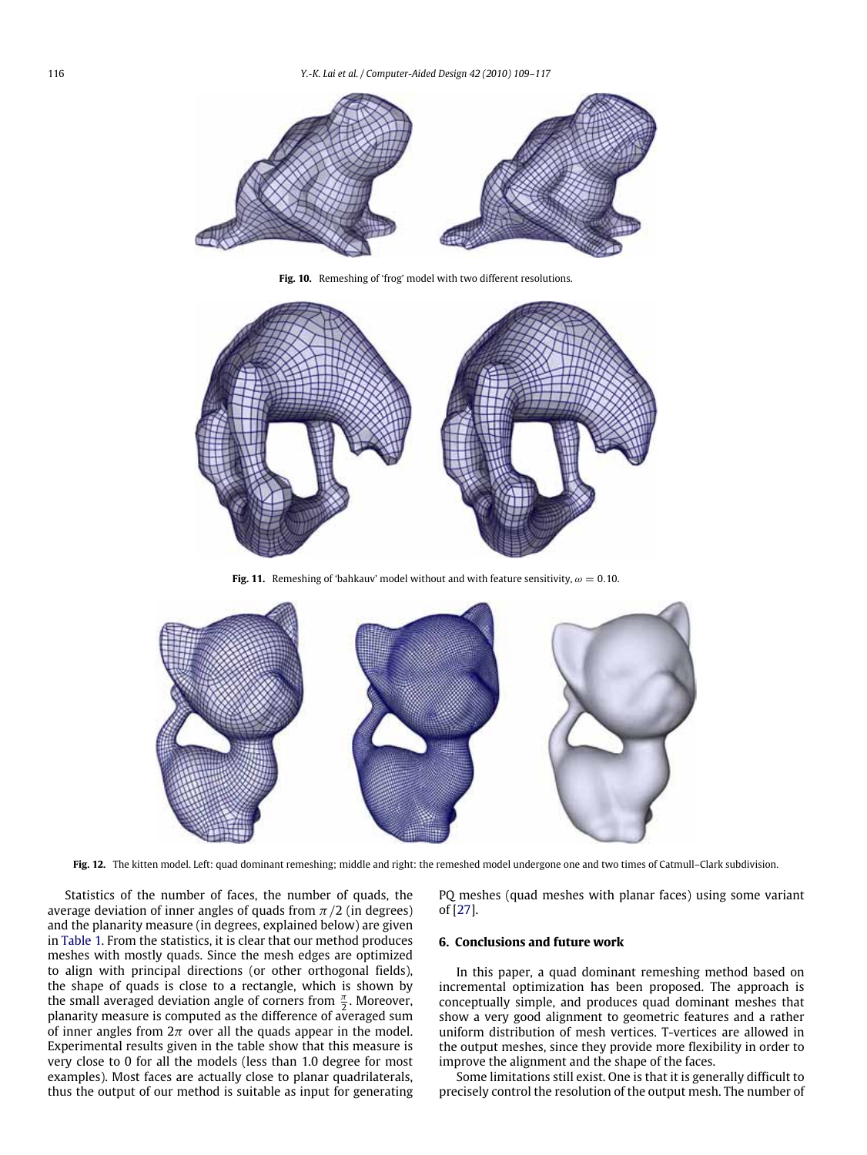

**Fig. 10.** Remeshing of 'frog' model with two different resolutions.



**Fig. 11.** Remeshing of 'bahkauv' model without and with feature sensitivity,  $\omega = 0.10$ .



**Fig. 12.** The kitten model. Left: quad dominant remeshing; middle and right: the remeshed model undergone one and two times of Catmull–Clark subdivision.

Statistics of the number of faces, the number of quads, the average deviation of inner angles of quads from  $\pi/2$  (in degrees) and the planarity measure (in degrees, explained below) are given in Table 1. From the statistics, it is clear that our method produces meshes with mostly quads. Since the mesh edges are optimized to align with principal directions (or other orthogonal fields), the shape of quads is close to a rectangle, which is shown by the small averaged deviation angle of corners from  $\frac{\pi}{2}$ . Moreover,  $\frac{2}{2}$ ; *moreover*, planarity measure is computed as the difference of averaged sum of inner angles from  $2\pi$  over all the quads appear in the model. Experimental results given in the table show that this measure is very close to 0 for all the models (less than 1.0 degree for most examples). Most faces are actually close to planar quadrilaterals, thus the output of our method is suitable as input for generating PQ meshes (quad meshes with planar faces) using some variant of [27].

## **6. Conclusions and future work**

In this paper, a quad dominant remeshing method based on incremental optimization has been proposed. The approach is conceptually simple, and produces quad dominant meshes that show a very good alignment to geometric features and a rather uniform distribution of mesh vertices. T-vertices are allowed in the output meshes, since they provide more flexibility in order to improve the alignment and the shape of the faces.

Some limitations still exist. One is that it is generally difficult to precisely control the resolution of the output mesh. The number of